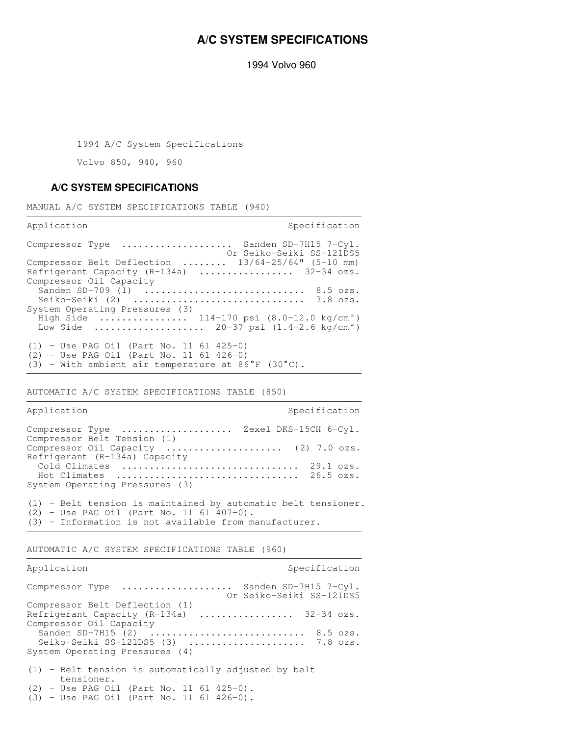## **A/C SYSTEM SPECIFICATIONS**

1994 Volvo 960

1994 A/C System Specifications

Volvo 850, 940, 960

## **A/C SYSTEM SPECIFICATIONS**

MANUAL A/C SYSTEM SPECIFICATIONS TABLE (940)

Application Specification Specification

| Compressor Type $\ldots \ldots \ldots \ldots \ldots$ Sanden SD-7H15 7-Cyl.<br>Or Seiko-Seiki SS-121DS5 |
|--------------------------------------------------------------------------------------------------------|
| Compressor Belt Deflection $13/64-25/64$ " (5-10 mm)                                                   |
| Refrigerant Capacity $(R-134a)$ 32-34 ozs.                                                             |
| Compressor Oil Capacity                                                                                |
| Sanden SD-709 (1)  8.5 ozs.                                                                            |
|                                                                                                        |
| System Operating Pressures (3)                                                                         |
| High Side  114-170 psi $(8.0-12.0 \text{ kg/cm}^2)$                                                    |
| Low Side  20-37 psi $(1.4-2.6 \text{ kg/cm}^2)$                                                        |
|                                                                                                        |
| $(1)$ - Use PAG Oil (Part No. 11 61 425-0)                                                             |
| $(2)$ - Use PAG Oil (Part No. 11 61 426-0)                                                             |
| $(3)$ - With ambient air temperature at 86°F $(30^{\circ}C)$ .                                         |

AUTOMATIC A/C SYSTEM SPECIFICATIONS TABLE (850)

| Application                                                           | Specification |
|-----------------------------------------------------------------------|---------------|
| Compressor Type  Zexel DKS-15CH 6-Cyl.<br>Compressor Belt Tension (1) |               |
| Compressor Oil Capacity  (2) 7.0 ozs.                                 |               |
| Refrigerant (R-134a) Capacity                                         |               |
|                                                                       |               |
| Hot Climates  26.5 ozs.                                               |               |
| System Operating Pressures (3)                                        |               |
|                                                                       |               |
| $(1)$ - Belt tension is maintained by automatic belt tensioner.       |               |
| $(2)$ - Use PAG Oil (Part No. 11 61 407-0).                           |               |
| $(3)$ - Information is not available from manufacturer.               |               |

AUTOMATIC A/C SYSTEM SPECIFICATIONS TABLE (960)

| Application                                                          | Specification                                     |
|----------------------------------------------------------------------|---------------------------------------------------|
| Compressor Type                                                      | Sanden SD-7H15 7-Cvl.<br>Or Seiko-Seiki SS-121DS5 |
| Compressor Belt Deflection (1)                                       |                                                   |
| Refrigerant Capacity (R-134a)  32-34 ozs.<br>Compressor Oil Capacity |                                                   |
| Sanden SD-7H15 $(2)$ 8.5 ozs.                                        |                                                   |
|                                                                      |                                                   |
| Seiko-Seiki SS-121DS5 $(3)$ 7.8 ozs.                                 |                                                   |
| System Operating Pressures (4)                                       |                                                   |
| $(1)$ - Belt tension is automatically adjusted by belt<br>tensioner. |                                                   |
| $(2)$ - Use PAG Oil (Part No. 11 61 425-0).                          |                                                   |
| $(3)$ - Use PAG Oil (Part No. 11 61 426-0).                          |                                                   |
|                                                                      |                                                   |